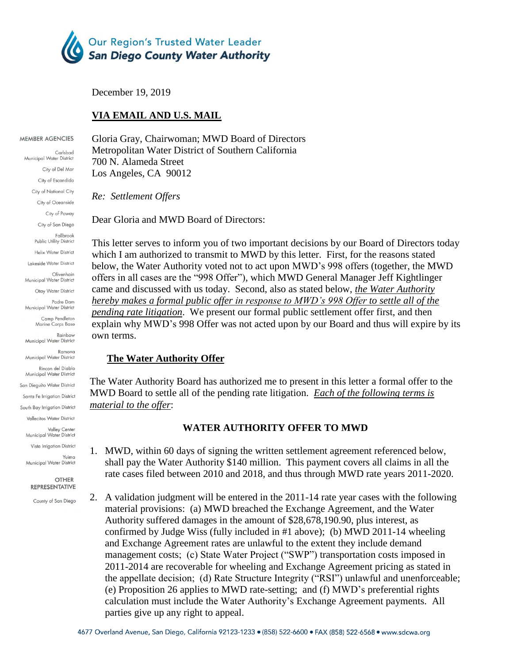

December 19, 2019

# **VIA EMAIL AND U.S. MAIL**

#### MEMBER AGENCIES

Carlsbad Municipal Water District City of Del Mar City of Escondido City of National City City of Oceanside City of Poway City of San Diego Fallbrook Public Utility District Helix Water District Lakeside Water District Olivenhain Municipal Water District Otay Water District Padre Dam Municipal Water District Camp Pendleton Marine Corps Base Rainhow Municipal Water District Ramona Municipal Water District Rincon del Diablo Municipal Water District San Dieauito Water District Santa Fe Irrigation District South Bay Irrigation District Vallecitos Water District Valley Center<br>Municipal Water District Vista Irrigation District Yuima Municipal Water District

> **OTHER REPRESENTATIVE**

County of San Diego

Gloria Gray, Chairwoman; MWD Board of Directors Metropolitan Water District of Southern California 700 N. Alameda Street Los Angeles, CA 90012

*Re: Settlement Offers*

Dear Gloria and MWD Board of Directors:

This letter serves to inform you of two important decisions by our Board of Directors today which I am authorized to transmit to MWD by this letter. First, for the reasons stated below, the Water Authority voted not to act upon MWD's 998 offers (together, the MWD offers in all cases are the "998 Offer"), which MWD General Manager Jeff Kightlinger came and discussed with us today. Second, also as stated below, *the Water Authority hereby makes a formal public offer in response to MWD's 998 Offer to settle all of the pending rate litigation*. We present our formal public settlement offer first, and then explain why MWD's 998 Offer was not acted upon by our Board and thus will expire by its own terms.

### **The Water Authority Offer**

The Water Authority Board has authorized me to present in this letter a formal offer to the MWD Board to settle all of the pending rate litigation. *Each of the following terms is material to the offer*:

# **WATER AUTHORITY OFFER TO MWD**

- 1. MWD, within 60 days of signing the written settlement agreement referenced below, shall pay the Water Authority \$140 million. This payment covers all claims in all the rate cases filed between 2010 and 2018, and thus through MWD rate years 2011-2020.
- 2. A validation judgment will be entered in the 2011-14 rate year cases with the following material provisions: (a) MWD breached the Exchange Agreement, and the Water Authority suffered damages in the amount of \$28,678,190.90, plus interest, as confirmed by Judge Wiss (fully included in #1 above); (b) MWD 2011-14 wheeling and Exchange Agreement rates are unlawful to the extent they include demand management costs; (c) State Water Project ("SWP") transportation costs imposed in 2011-2014 are recoverable for wheeling and Exchange Agreement pricing as stated in the appellate decision; (d) Rate Structure Integrity ("RSI") unlawful and unenforceable; (e) Proposition 26 applies to MWD rate-setting; and (f) MWD's preferential rights calculation must include the Water Authority's Exchange Agreement payments. All parties give up any right to appeal.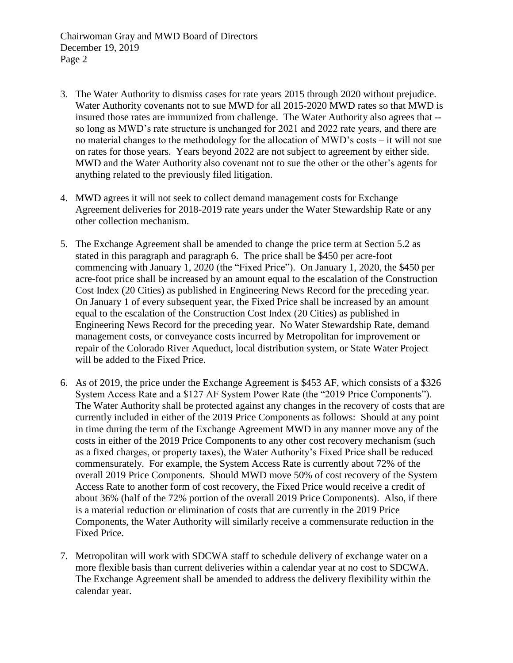- 3. The Water Authority to dismiss cases for rate years 2015 through 2020 without prejudice. Water Authority covenants not to sue MWD for all 2015-2020 MWD rates so that MWD is insured those rates are immunized from challenge. The Water Authority also agrees that - so long as MWD's rate structure is unchanged for 2021 and 2022 rate years, and there are no material changes to the methodology for the allocation of MWD's costs – it will not sue on rates for those years. Years beyond 2022 are not subject to agreement by either side. MWD and the Water Authority also covenant not to sue the other or the other's agents for anything related to the previously filed litigation.
- 4. MWD agrees it will not seek to collect demand management costs for Exchange Agreement deliveries for 2018-2019 rate years under the Water Stewardship Rate or any other collection mechanism.
- 5. The Exchange Agreement shall be amended to change the price term at Section 5.2 as stated in this paragraph and paragraph 6. The price shall be \$450 per acre-foot commencing with January 1, 2020 (the "Fixed Price"). On January 1, 2020, the \$450 per acre-foot price shall be increased by an amount equal to the escalation of the Construction Cost Index (20 Cities) as published in Engineering News Record for the preceding year. On January 1 of every subsequent year, the Fixed Price shall be increased by an amount equal to the escalation of the Construction Cost Index (20 Cities) as published in Engineering News Record for the preceding year. No Water Stewardship Rate, demand management costs, or conveyance costs incurred by Metropolitan for improvement or repair of the Colorado River Aqueduct, local distribution system, or State Water Project will be added to the Fixed Price.
- 6. As of 2019, the price under the Exchange Agreement is \$453 AF, which consists of a \$326 System Access Rate and a \$127 AF System Power Rate (the "2019 Price Components"). The Water Authority shall be protected against any changes in the recovery of costs that are currently included in either of the 2019 Price Components as follows: Should at any point in time during the term of the Exchange Agreement MWD in any manner move any of the costs in either of the 2019 Price Components to any other cost recovery mechanism (such as a fixed charges, or property taxes), the Water Authority's Fixed Price shall be reduced commensurately. For example, the System Access Rate is currently about 72% of the overall 2019 Price Components. Should MWD move 50% of cost recovery of the System Access Rate to another form of cost recovery, the Fixed Price would receive a credit of about 36% (half of the 72% portion of the overall 2019 Price Components). Also, if there is a material reduction or elimination of costs that are currently in the 2019 Price Components, the Water Authority will similarly receive a commensurate reduction in the Fixed Price.
- 7. Metropolitan will work with SDCWA staff to schedule delivery of exchange water on a more flexible basis than current deliveries within a calendar year at no cost to SDCWA. The Exchange Agreement shall be amended to address the delivery flexibility within the calendar year.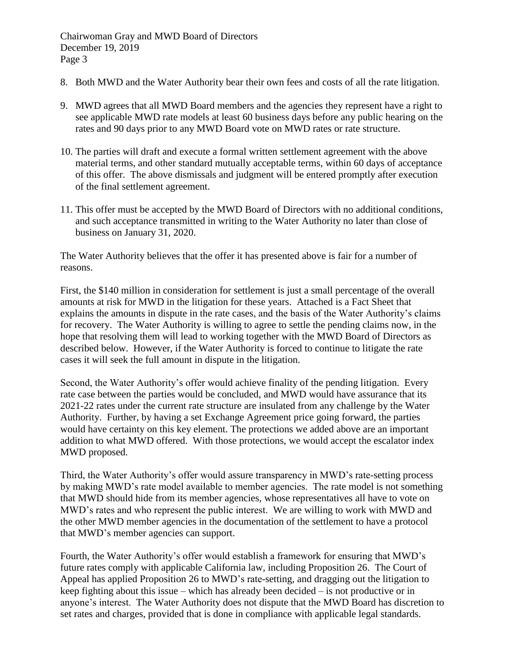- 8. Both MWD and the Water Authority bear their own fees and costs of all the rate litigation.
- 9. MWD agrees that all MWD Board members and the agencies they represent have a right to see applicable MWD rate models at least 60 business days before any public hearing on the rates and 90 days prior to any MWD Board vote on MWD rates or rate structure.
- 10. The parties will draft and execute a formal written settlement agreement with the above material terms, and other standard mutually acceptable terms, within 60 days of acceptance of this offer. The above dismissals and judgment will be entered promptly after execution of the final settlement agreement.
- 11. This offer must be accepted by the MWD Board of Directors with no additional conditions, and such acceptance transmitted in writing to the Water Authority no later than close of business on January 31, 2020.

The Water Authority believes that the offer it has presented above is fair for a number of reasons.

First, the \$140 million in consideration for settlement is just a small percentage of the overall amounts at risk for MWD in the litigation for these years. Attached is a Fact Sheet that explains the amounts in dispute in the rate cases, and the basis of the Water Authority's claims for recovery. The Water Authority is willing to agree to settle the pending claims now, in the hope that resolving them will lead to working together with the MWD Board of Directors as described below. However, if the Water Authority is forced to continue to litigate the rate cases it will seek the full amount in dispute in the litigation.

Second, the Water Authority's offer would achieve finality of the pending litigation. Every rate case between the parties would be concluded, and MWD would have assurance that its 2021-22 rates under the current rate structure are insulated from any challenge by the Water Authority. Further, by having a set Exchange Agreement price going forward, the parties would have certainty on this key element. The protections we added above are an important addition to what MWD offered. With those protections, we would accept the escalator index MWD proposed.

Third, the Water Authority's offer would assure transparency in MWD's rate-setting process by making MWD's rate model available to member agencies. The rate model is not something that MWD should hide from its member agencies, whose representatives all have to vote on MWD's rates and who represent the public interest. We are willing to work with MWD and the other MWD member agencies in the documentation of the settlement to have a protocol that MWD's member agencies can support.

Fourth, the Water Authority's offer would establish a framework for ensuring that MWD's future rates comply with applicable California law, including Proposition 26. The Court of Appeal has applied Proposition 26 to MWD's rate-setting, and dragging out the litigation to keep fighting about this issue – which has already been decided – is not productive or in anyone's interest. The Water Authority does not dispute that the MWD Board has discretion to set rates and charges, provided that is done in compliance with applicable legal standards.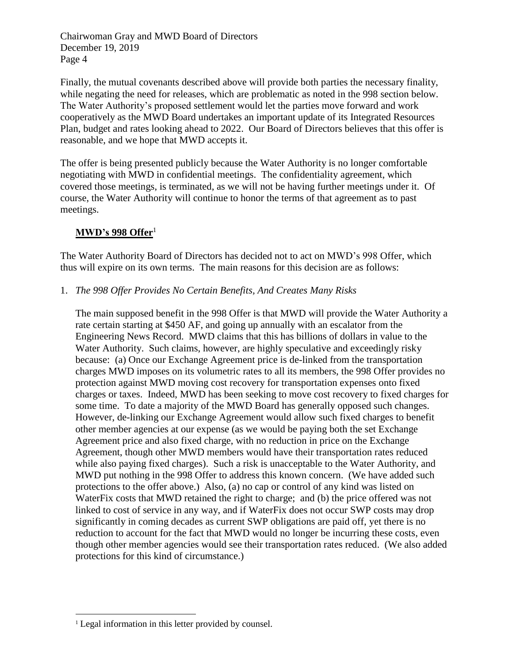Finally, the mutual covenants described above will provide both parties the necessary finality, while negating the need for releases, which are problematic as noted in the 998 section below. The Water Authority's proposed settlement would let the parties move forward and work cooperatively as the MWD Board undertakes an important update of its Integrated Resources Plan, budget and rates looking ahead to 2022. Our Board of Directors believes that this offer is reasonable, and we hope that MWD accepts it.

The offer is being presented publicly because the Water Authority is no longer comfortable negotiating with MWD in confidential meetings. The confidentiality agreement, which covered those meetings, is terminated, as we will not be having further meetings under it. Of course, the Water Authority will continue to honor the terms of that agreement as to past meetings.

# **MWD's 998 Offer**<sup>1</sup>

The Water Authority Board of Directors has decided not to act on MWD's 998 Offer, which thus will expire on its own terms. The main reasons for this decision are as follows:

# 1. *The 998 Offer Provides No Certain Benefits, And Creates Many Risks*

The main supposed benefit in the 998 Offer is that MWD will provide the Water Authority a rate certain starting at \$450 AF, and going up annually with an escalator from the Engineering News Record. MWD claims that this has billions of dollars in value to the Water Authority. Such claims, however, are highly speculative and exceedingly risky because: (a) Once our Exchange Agreement price is de-linked from the transportation charges MWD imposes on its volumetric rates to all its members, the 998 Offer provides no protection against MWD moving cost recovery for transportation expenses onto fixed charges or taxes. Indeed, MWD has been seeking to move cost recovery to fixed charges for some time. To date a majority of the MWD Board has generally opposed such changes. However, de-linking our Exchange Agreement would allow such fixed charges to benefit other member agencies at our expense (as we would be paying both the set Exchange Agreement price and also fixed charge, with no reduction in price on the Exchange Agreement, though other MWD members would have their transportation rates reduced while also paying fixed charges). Such a risk is unacceptable to the Water Authority, and MWD put nothing in the 998 Offer to address this known concern. (We have added such protections to the offer above.) Also, (a) no cap or control of any kind was listed on WaterFix costs that MWD retained the right to charge; and (b) the price offered was not linked to cost of service in any way, and if WaterFix does not occur SWP costs may drop significantly in coming decades as current SWP obligations are paid off, yet there is no reduction to account for the fact that MWD would no longer be incurring these costs, even though other member agencies would see their transportation rates reduced. (We also added protections for this kind of circumstance.)

 $\overline{a}$ <sup>1</sup> Legal information in this letter provided by counsel.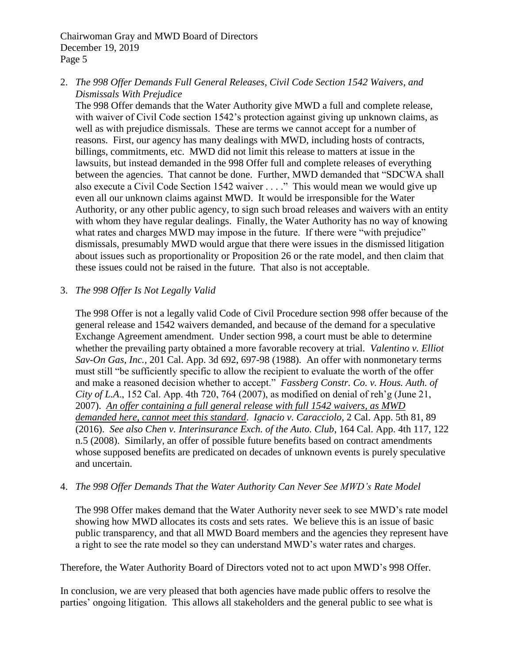2. *The 998 Offer Demands Full General Releases, Civil Code Section 1542 Waivers, and Dismissals With Prejudice*

The 998 Offer demands that the Water Authority give MWD a full and complete release, with waiver of Civil Code section 1542's protection against giving up unknown claims, as well as with prejudice dismissals. These are terms we cannot accept for a number of reasons. First, our agency has many dealings with MWD, including hosts of contracts, billings, commitments, etc. MWD did not limit this release to matters at issue in the lawsuits, but instead demanded in the 998 Offer full and complete releases of everything between the agencies. That cannot be done. Further, MWD demanded that "SDCWA shall also execute a Civil Code Section 1542 waiver . . . ." This would mean we would give up even all our unknown claims against MWD. It would be irresponsible for the Water Authority, or any other public agency, to sign such broad releases and waivers with an entity with whom they have regular dealings. Finally, the Water Authority has no way of knowing what rates and charges MWD may impose in the future. If there were "with prejudice" dismissals, presumably MWD would argue that there were issues in the dismissed litigation about issues such as proportionality or Proposition 26 or the rate model, and then claim that these issues could not be raised in the future. That also is not acceptable.

# 3. *The 998 Offer Is Not Legally Valid*

The 998 Offer is not a legally valid Code of Civil Procedure section 998 offer because of the general release and 1542 waivers demanded, and because of the demand for a speculative Exchange Agreement amendment. Under section 998, a court must be able to determine whether the prevailing party obtained a more favorable recovery at trial. *Valentino v. Elliot Sav-On Gas, Inc.,* 201 Cal. App. 3d 692, 697-98 (1988). An offer with nonmonetary terms must still "be sufficiently specific to allow the recipient to evaluate the worth of the offer and make a reasoned decision whether to accept." *Fassberg Constr. Co. v. Hous. Auth. of City of L.A*., 152 Cal. App. 4th 720, 764 (2007), as modified on denial of reh'g (June 21, 2007). *An offer containing a full general release with full 1542 waivers, as MWD demanded here, cannot meet this standard*. *Ignacio v. Caracciolo*, 2 Cal. App. 5th 81, 89 (2016). *See also Chen v. Interinsurance Exch. of the Auto. Club*, 164 Cal. App. 4th 117, 122 n.5 (2008). Similarly, an offer of possible future benefits based on contract amendments whose supposed benefits are predicated on decades of unknown events is purely speculative and uncertain.

### 4. *The 998 Offer Demands That the Water Authority Can Never See MWD's Rate Model*

The 998 Offer makes demand that the Water Authority never seek to see MWD's rate model showing how MWD allocates its costs and sets rates. We believe this is an issue of basic public transparency, and that all MWD Board members and the agencies they represent have a right to see the rate model so they can understand MWD's water rates and charges.

Therefore, the Water Authority Board of Directors voted not to act upon MWD's 998 Offer.

In conclusion, we are very pleased that both agencies have made public offers to resolve the parties' ongoing litigation. This allows all stakeholders and the general public to see what is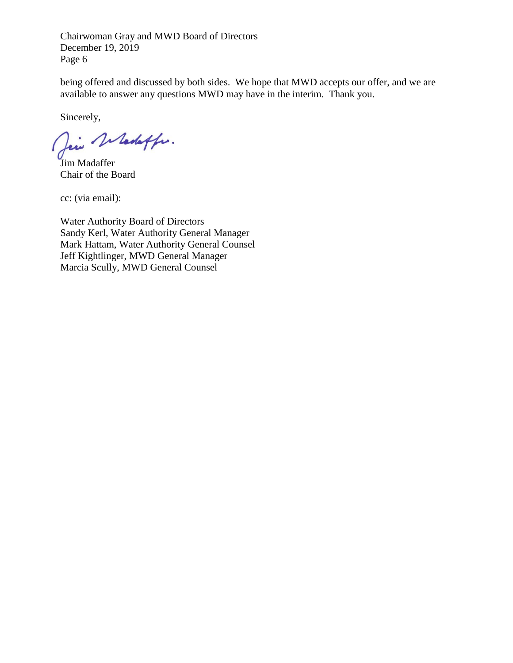being offered and discussed by both sides. We hope that MWD accepts our offer, and we are available to answer any questions MWD may have in the interim. Thank you.

Sincerely,

Dei Whedeffer.

Jim Madaffer Chair of the Board

cc: (via email):

Water Authority Board of Directors Sandy Kerl, Water Authority General Manager Mark Hattam, Water Authority General Counsel Jeff Kightlinger, MWD General Manager Marcia Scully, MWD General Counsel